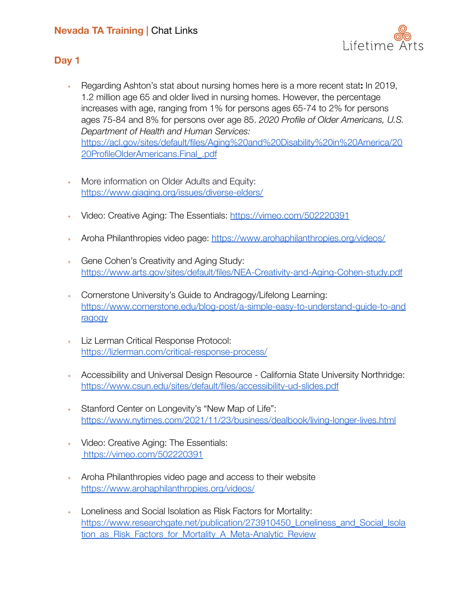# **Nevada TA Training |** Chat Links



### **Day 1**

- ﹢ Regarding Ashton's stat about nursing homes here is a more recent stat**:** In 2019, 1.2 million age 65 and older lived in nursing homes. However, the percentage increases with age, ranging from 1% for persons ages 65-74 to 2% for persons ages 75-84 and 8% for persons over age 85. *2020 Profile of Older Americans, U.S. Department of Health and Human Services:* [https://acl.gov/sites/default/files/Aging%20and%20Disability%20in%20America/20](https://acl.gov/sites/default/files/Aging%20and%20Disability%20in%20America/2020ProfileOlderAmericans.Final_.pdf) [20ProfileOlderAmericans.Final\\_.pdf](https://acl.gov/sites/default/files/Aging%20and%20Disability%20in%20America/2020ProfileOlderAmericans.Final_.pdf)
- ﹢ More information on Older Adults and Equity: <https://www.giaging.org/issues/diverse-elders/>
- ﹢ Video: Creative Aging: The Essentials: <https://vimeo.com/502220391>
- ﹢ Aroha Philanthropies video page: <https://www.arohaphilanthropies.org/videos/>
- ﹢ Gene Cohen's Creativity and Aging Study: <https://www.arts.gov/sites/default/files/NEA-Creativity-and-Aging-Cohen-study.pdf>
- ﹢ Cornerstone University's Guide to Andragogy/Lifelong Learning: [https://www.cornerstone.edu/blog-post/a-simple-easy-to-understand-guide-to-and](https://www.cornerstone.edu/blog-post/a-simple-easy-to-understand-guide-to-andragogy) [ragogy](https://www.cornerstone.edu/blog-post/a-simple-easy-to-understand-guide-to-andragogy)
- ﹢ Liz Lerman Critical Response Protocol: <https://lizlerman.com/critical-response-process/>
- ﹢ Accessibility and Universal Design Resource California State University Northridge[:](https://www.csun.edu/sites/default/files/accessibility-ud-slides.pdf) <https://www.csun.edu/sites/default/files/accessibility-ud-slides.pdf>
- Stanford Center on Longevity's "New Map of Life": <https://www.nytimes.com/2021/11/23/business/dealbook/living-longer-lives.html>
- ﹢ Video: Creative Aging: The Essentials: <https://vimeo.com/502220391>
- ﹢ Aroha Philanthropies video page and access to their website <https://www.arohaphilanthropies.org/videos/>
- Loneliness and Social Isolation as Risk Factors for Mortality: [https://www.researchgate.net/publication/273910450\\_Loneliness\\_and\\_Social\\_Isola](https://www.researchgate.net/publication/273910450_Loneliness_and_Social_Isolation_as_Risk_Factors_for_Mortality_A_Meta-Analytic_Review) tion as Risk Factors for Mortality A Meta-Analytic Review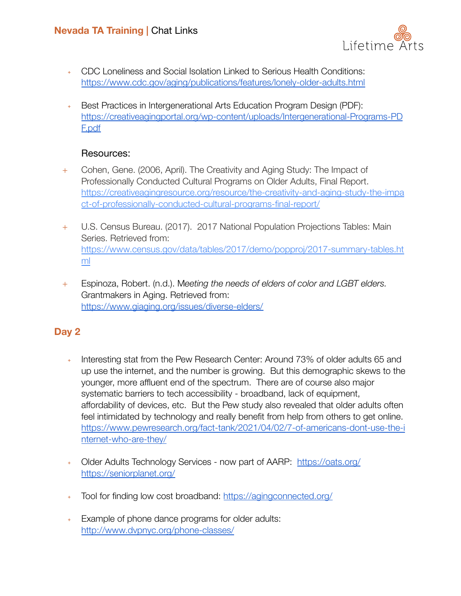

- ﹢ CDC Loneliness and Social Isolation Linked to Serious Health Conditions: <https://www.cdc.gov/aging/publications/features/lonely-older-adults.html>
- ﹢ Best Practices in Intergenerational Arts Education Program Design (PDF): [https://creativeagingportal.org/wp-content/uploads/Intergenerational-Programs-PD](https://creativeagingportal.org/wp-content/uploads/Intergenerational-Programs-PDF.pdf) [F.pdf](https://creativeagingportal.org/wp-content/uploads/Intergenerational-Programs-PDF.pdf)

#### Resources:

- + Cohen, Gene. (2006, April). The Creativity and Aging Study: The Impact of Professionally Conducted Cultural Programs on Older Adults, Final Report. [https://creativeagingresource.org/resource/the-creativity-and-aging-study-the-impa](https://creativeagingresource.org/resource/the-creativity-and-aging-study-the-impact-of-professionally-conducted-cultural-programs-final-report/) [ct-of-professionally-conducted-cultural-programs-final-report/](https://creativeagingresource.org/resource/the-creativity-and-aging-study-the-impact-of-professionally-conducted-cultural-programs-final-report/)
- + U.S. Census Bureau. (2017). 2017 National Population Projections Tables: Main Series. Retrieved from: [https://www.census.gov/data/tables/2017/demo/popproj/2017-summary-tables.ht](https://www.census.gov/data/tables/2017/demo/popproj/2017-summary-tables.html) [ml](https://www.census.gov/data/tables/2017/demo/popproj/2017-summary-tables.html)
- + Espinoza, Robert. (n.d.). M*eeting the needs of elders of color and LGBT elders.* Grantmakers in Aging. Retrieved from: <https://www.giaging.org/issues/diverse-elders/>

## **Day 2**

- Interesting stat from the Pew Research Center: Around 73% of older adults 65 and up use the internet, and the number is growing. But this demographic skews to the younger, more affluent end of the spectrum. There are of course also major systematic barriers to tech accessibility - broadband, lack of equipment, affordability of devices, etc. But the Pew study also revealed that older adults often feel intimidated by technology and really benefit from help from others to get online. [https://www.pewresearch.org/fact-tank/2021/04/02/7-of-americans-dont-use-the-i](https://www.pewresearch.org/fact-tank/2021/04/02/7-of-americans-dont-use-the-internet-who-are-they/) [nternet-who-are-they/](https://www.pewresearch.org/fact-tank/2021/04/02/7-of-americans-dont-use-the-internet-who-are-they/)
- ﹢ Older Adults Technology Services now part of AARP: <https://oats.org/> [https://seniorplanet.org/](https://oats.org/)
- + Tool for finding low cost broadband: <https://agingconnected.org/>
- ﹢ Example of phone dance programs for older adults: <http://www.dvpnyc.org/phone-classes/>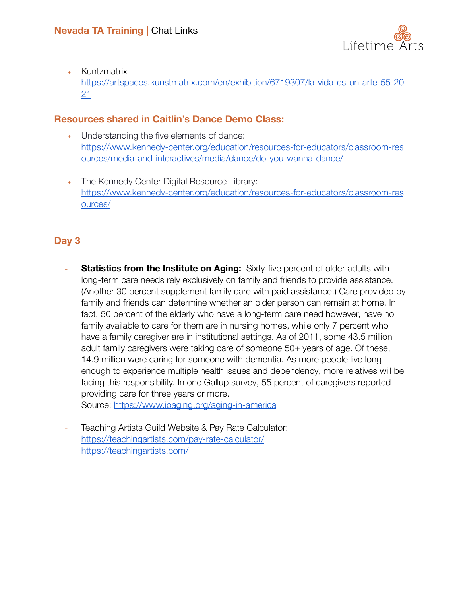

﹢ Kuntzmatrix

[https://artspaces.kunstmatrix.com/en/exhibition/6719307/la-vida-es-un-arte-55-20](https://artspaces.kunstmatrix.com/en/exhibition/6719307/la-vida-es-un-arte-55-2021) [21](https://artspaces.kunstmatrix.com/en/exhibition/6719307/la-vida-es-un-arte-55-2021)

# **Resources shared in Caitlin's Dance Demo Class:**

- ﹢ Understanding the five elements of dance: [https://www.kennedy-center.org/education/resources-for-educators/classroom-res](https://www.kennedy-center.org/education/resources-for-educators/classroom-resources/media-and-interactives/media/dance/do-you-wanna-dance/) [ources/media-and-interactives/media/dance/do-you-wanna-dance/](https://www.kennedy-center.org/education/resources-for-educators/classroom-resources/media-and-interactives/media/dance/do-you-wanna-dance/)
- ﹢ The Kennedy Center Digital Resource Library: [https://www.kennedy-center.org/education/resources-for-educators/classroom-res](https://www.kennedy-center.org/education/resources-for-educators/classroom-resources/) [ources/](https://www.kennedy-center.org/education/resources-for-educators/classroom-resources/)

# **Day 3**

- **Statistics from the Institute on Aging:** Sixty-five percent of older adults with long-term care needs rely exclusively on family and friends to provide assistance. (Another 30 percent supplement family care with paid assistance.) Care provided by family and friends can determine whether an older person can remain at home. In fact, 50 percent of the elderly who have a long-term care need however, have no family available to care for them are in nursing homes, while only 7 percent who have a family caregiver are in institutional settings. As of 2011, some 43.5 million adult family caregivers were taking care of someone 50+ years of age. Of these, 14.9 million were caring for someone with dementia. As more people live long enough to experience multiple health issues and dependency, more relatives will be facing this responsibility. In one Gallup survey, 55 percent of caregivers reported providing care for three years or more. Source: <https://www.ioaging.org/aging-in-america>
- ﹢ Teaching Artists Guild Website & Pay Rate Calculator: <https://teachingartists.com/pay-rate-calculator/> <https://teachingartists.com/>